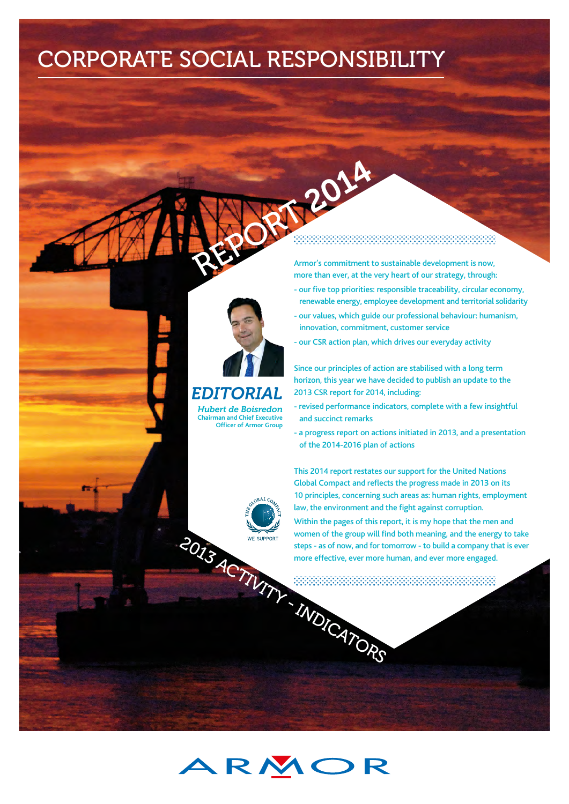# CORPORATE SOCIAL RESPONSIBILITY



# *EDITORIAL*

*Hubert de Boisredon* **Chairman and Chief Executive Officer of Armor Group**

# REPORT 2014

Armor's commitment to sustainable development is now, more than ever, at the very heart of our strategy, through:

- our five top priorities: responsible traceability, circular economy, renewable energy, employee development and territorial solidarity
- our values, which guide our professional behaviour: humanism, innovation, commitment, customer service
- our CSR action plan, which drives our everyday activity

Since our principles of action are stabilised with a long term horizon, this year we have decided to publish an update to the 2013 CSR report for 2014, including:

- revised performance indicators, complete with a few insightful and succinct remarks
- a progress report on actions initiated in 2013, and a presentation of the 2014-2016 plan of actions

This 2014 report restates our support for the United Nations Global Compact and reflects the progress made in 2013 on its 10 principles, concerning such areas as: human rights, employment law, the environment and the fight against corruption.

2013 ACTIVITY STEPS - as of the contract of the contract of the contract of the contract of the contract of the contract of the contract of the contract of the contract of the contract of the contract of the contract of th Within the pages of this report, it is my hope that the men and women of the group will find both meaning, and the energy to take steps - as of now, and for tomorrow - to build a company that is ever more effective, ever more human, and ever more engaged.

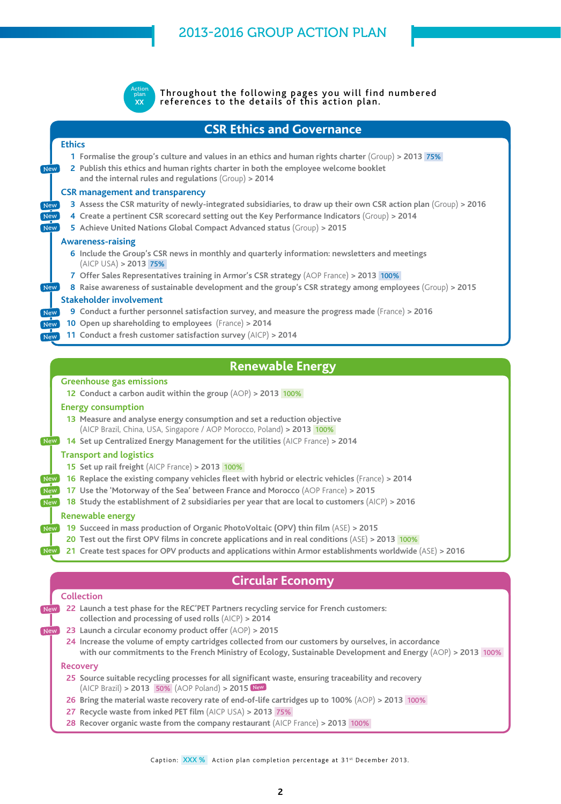

Throughout the following pages you will find numbered references to the details of this action plan.

**CSR Ethics and Governance**

# **Ethics**

**New** 

New **New** New

**New** 

New New

- **1 Formalise the group's culture and values in an ethics and human rights charter** (Group) **> 2013** 75%
- **2 Publish this ethics and human rights charter in both the employee welcome booklet and the internal rules and regulations** (Group) **> 2014**

## **CSR management and transparency**

- **3 Assess the CSR maturity of newly-integrated subsidiaries, to draw up their own CSR action plan** (Group) **> 2016**
- **4 Create a pertinent CSR scorecard setting out the Key Performance Indicators** (Group) **> 2014**
- **5 Achieve United Nations Global Compact Advanced status** (Group) **> 2015**

## **Awareness-raising**

- **6 Include the Group's CSR news in monthly and quarterly information: newsletters and meetings**  (AICP USA) **> 2013** 75%
- **7 Offer Sales Representatives training in Armor's CSR strategy** (AOP France) **> 2013** 100%
- **8 Raise awareness of sustainable development and the group's CSR strategy among employees** (Group) **> 2015**

## **Stakeholder involvement**

- **9 Conduct a further personnel satisfaction survey, and measure the progress made** (France) **> 2016**
- **10 Open up shareholding to employees** (France) **> 2014**
- **11 Conduct a fresh customer satisfaction survey** (AICP) **> 2014** New

# **Renewable Energy**

#### **Greenhouse gas emissions**

**12 Conduct a carbon audit within the group** (AOP) **> 2013** 100%

#### **Energy consumption**

- **13 Measure and analyse energy consumption and set a reduction objective**  (AICP Brazil, China, USA, Singapore / AOP Morocco, Poland) **> 2013** 100%
- **14 Set up Centralized Energy Management for the utilities** (AICP France) **> 2014** New

#### **Transport and logistics**

- **15 Set up rail freight** (AICP France) **> 2013** 100%
- **16 Replace the existing company vehicles fleet with hybrid or electric vehicles** (France) **> 2014** New
- **17 Use the 'Motorway of the Sea' between France and Morocco** (AOP France) **> 2015** New
- **18 Study the establishment of 2 subsidiaries per year that are local to customers** (AICP) **> 2016** New

## **Renewable energy**

- **19 Succeed in mass production of Organic PhotoVoltaic (OPV) thin film** (ASE) **> 2015** New
	- **20 Test out the first OPV films in concrete applications and in real conditions** (ASE) **> 2013** 100%
- **21 Create test spaces for OPV products and applications within Armor establishments worldwide** (ASE) **> 2016** New

# **Circular Economy**

## **Collection**

- **22 Launch a test phase for the REC'PET Partners recycling service for French customers: collection and processing of used rolls** (AICP) **> 2014**
- **23 Launch a circular economy product offer** (AOP) **> 2015**
- **24 Increase the volume of empty cartridges collected from our customers by ourselves, in accordance with our commitments to the French Ministry of Ecology, Sustainable Development and Energy** (AOP) **> 2013** 100%

#### **Recovery**

New

New

- **25 Source suitable recycling processes for all significant waste, ensuring traceability and recovery** (AICP Brazil) **> 2013** 50% (AOP Poland) **> 2015** New
- **26 Bring the material waste recovery rate of end-of-life cartridges up to 100%** (AOP) **> 2013** 100%
- **27 Recycle waste from inked PET film** (AICP USA) **> 2013** 75%
- **28 Recover organic waste from the company restaurant** (AICP France) **> 2013** 100%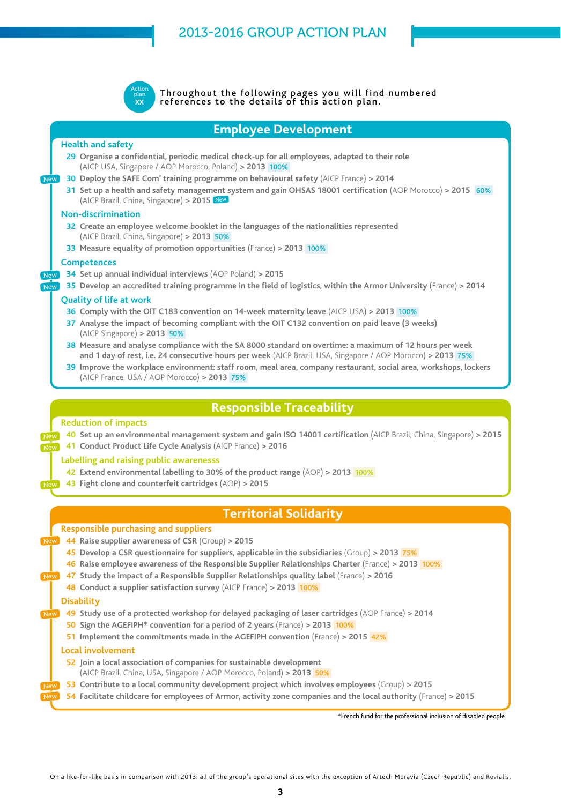

Throughout the following pages you will find numbered references to the details of this action plan.

# **Employee Development**

## **Health and safety**

New

New New

New New

New

New

New

- **29 Organise a confidential, periodic medical check-up for all employees, adapted to their role**  (AICP USA, Singapore / AOP Morocco, Poland) **> 2013** 100%
- **30 Deploy the SAFE Com' training programme on behavioural safety** (AICP France) **> 2014**
- **31 Set up a health and safety management system and gain OHSAS 18001 certification** (AOP Morocco) **> 2015** 60% (AICP Brazil, China, Singapore) **> 2015** New

## **Non-discrimination**

- **32 Create an employee welcome booklet in the languages of the nationalities represented**  (AICP Brazil, China, Singapore) **> 2013** 50%
- **33 Measure equality of promotion opportunities** (France) **> 2013** 100%

## **Competences**

- **34 Set up annual individual interviews** (AOP Poland) **> 2015**
- **35 Develop an accredited training programme in the field of logistics, within the Armor University** (France) **> 2014**

## **Quality of life at work**

- **36 Comply with the OIT C183 convention on 14-week maternity leave** (AICP USA) **> 2013** 100%
- **37 Analyse the impact of becoming compliant with the OIT C132 convention on paid leave (3 weeks)**  (AICP Singapore) **> 2013** 50%
- **38 Measure and analyse compliance with the SA 8000 standard on overtime: a maximum of 12 hours per week and 1 day of rest, i.e. 24 consecutive hours per week** (AICP Brazil, USA, Singapore / AOP Morocco) **> 2013** 75%
- **39 Improve the workplace environment: staff room, meal area, company restaurant, social area, workshops, lockers** (AICP France, USA / AOP Morocco) **> 2013** 75%

# **Responsible Traceability**

## **Reduction of impacts**

**40 Set up an environmental management system and gain ISO 14001 certification** (AICP Brazil, China, Singapore) **> 2015**

**41 Conduct Product Life Cycle Analysis** (AICP France) **> 2016**

## **Labelling and raising public awarenesss**

- **42 Extend environmental labelling to 30% of the product range** (AOP) **> 2013** 100%
- **43 Fight clone and counterfeit cartridges** (AOP) **> 2015**

# **Territorial Solidarity**

## **Responsible purchasing and suppliers**

- **44 Raise supplier awareness of CSR** (Group) **> 2015**
	- **45 Develop a CSR questionnaire for suppliers, applicable in the subsidiaries** (Group) **> 2013** 75%
- **46 Raise employee awareness of the Responsible Supplier Relationships Charter** (France) **> 2013** 100%
- **47 Study the impact of a Responsible Supplier Relationships quality label** (France) **> 2016** New
	- **48 Conduct a supplier satisfaction survey** (AICP France) **> 2013** 100%

## **Disability**

- **49 Study use of a protected workshop for delayed packaging of laser cartridges** (AOP France) **> 2014** New
	- **50 Sign the AGEFIPH\* convention for a period of 2 years** (France) **> 2013** 100%
	- **51 Implement the commitments made in the AGEFIPH convention** (France) > 2015 42%

## **Local involvement**

- **52 Join a local association of companies for sustainable development**
- (AICP Brazil, China, USA, Singapore / AOP Morocco, Poland) **> 2013** 50%
- **53 Contribute to a local community development project which involves employees** (Group) **> 2015**
- **54 Facilitate childcare for employees of Armor, activity zone companies and the local authority** (France) **> 2015** New

\*French fund for the professional inclusion of disabled people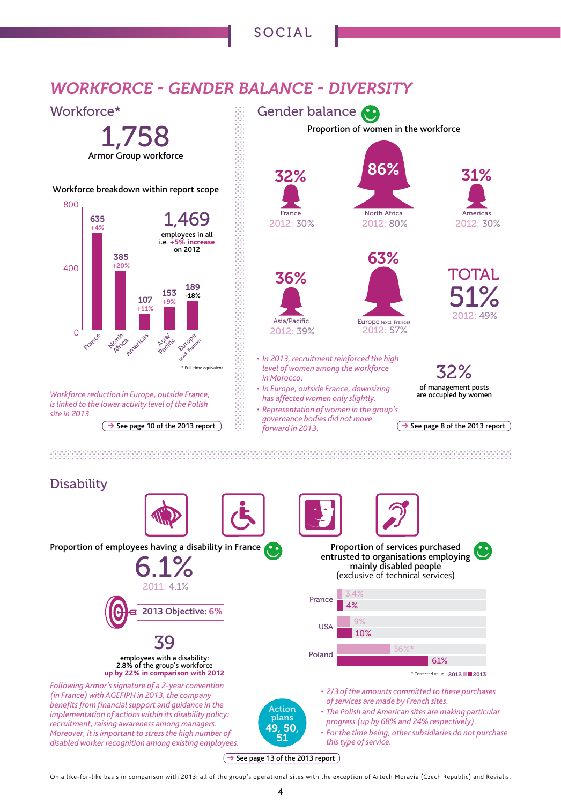# SOCIAL

# *WORKFORCE - GENDER BALANCE - DIVERSITY*



#### 

# **Disability**



 $\rightarrow$  See page 13 of the 2013 report

On a like-for-like basis in comparison with 2013: all of the group's operational sites with the exception of Artech Moravia (Czech Republic) and Revialis.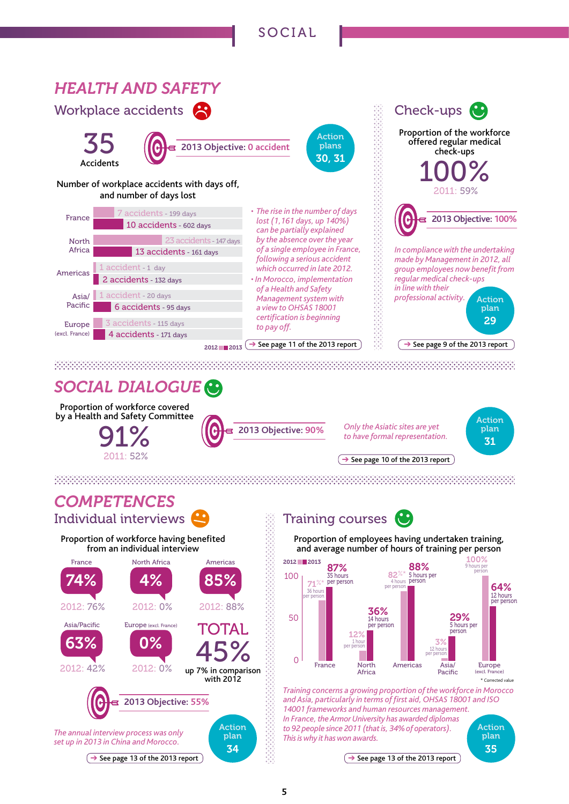# SOCIAL



# *SOCIAL DIALOGUE*

Proportion of workforce covered by a Health and Safety Committee 91% G

**2013 Objective: 90%**

*to have formal representation.*



35

 $\rightarrow$  See page 10 of the 2013 report

*Only the Asiatic sites are yet* 

a de la caractería de la caractería de la caractería de la caractería de la caractería de la caractería de la

# *COMPETENCES* Individual interviews

2011: 52%



# Training courses **G**

Proportion of employees having undertaken training, and average number of hours of training per person



*Training concerns a growing proportion of the workforce in Morocco and Asia, particularly in terms of first aid, OHSAS 18001 and ISO 14001 frameworks and human resources management. In France, the Armor University has awarded diplomas to 92 people since 2011 (that is, 34% of operators). This is why it has won awards.* Action plan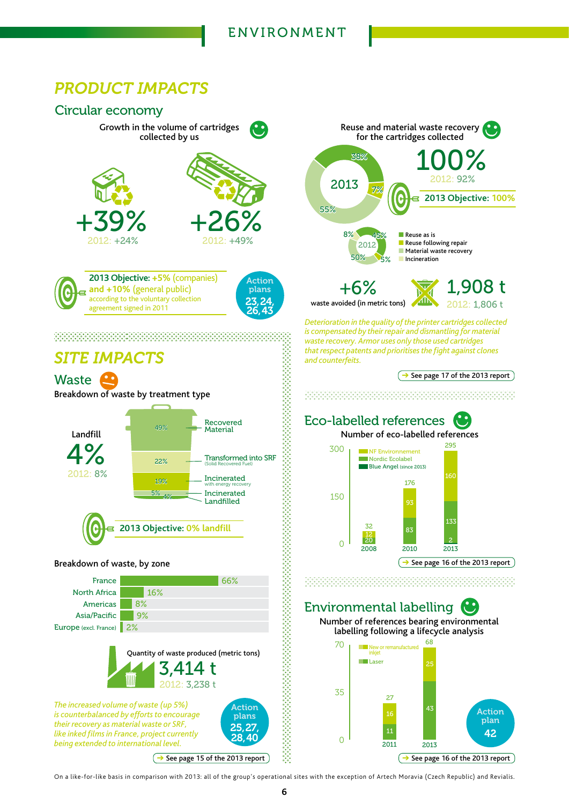# *PRODUCT IMPACTS*



On a like-for-like basis in comparison with 2013: all of the group's operational sites with the exception of Artech Moravia (Czech Republic) and Revialis.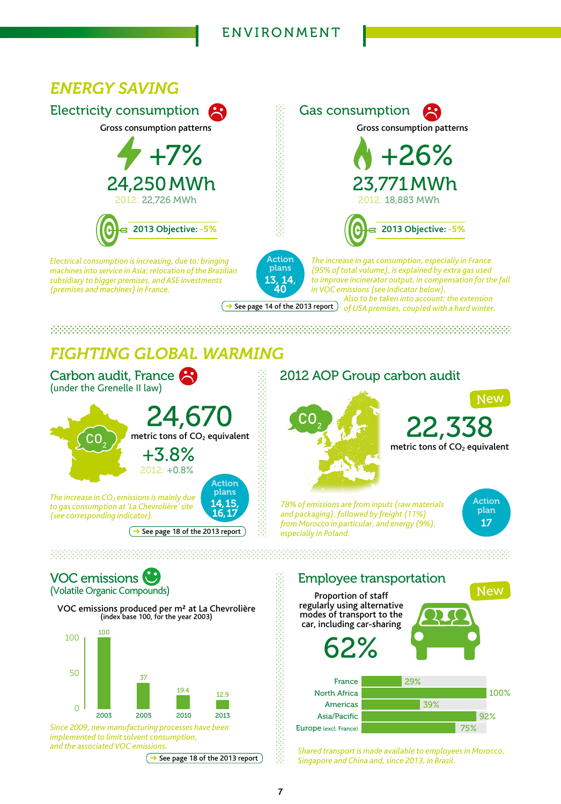# ENVIRONMENT



# *FIGHTING GLOBAL WARMING*



**Expanding See page 18 of the 2013 report** especially in Poland.



metric tons of CO<sub>2</sub> equivalent **New** 

*78% of emissions are from inputs (raw materials and packaging), followed by freight (11%) from Morocco in particular, and energy (9%),* 



VOC emissions (Volatile Organic Compounds)

VOC emissions produced per m² at La Chevrolière (index base 100, for the year 2003)



*Since 2009, new manufacturing processes have been implemented to limit solvent consumption,* 

 $\rightarrow$  See page 18 of the 2013 report



*and the associated VOC emissions. Shared transport is made available to employees in Morocco, Singapore and China and, since 2013, in Brazil.*